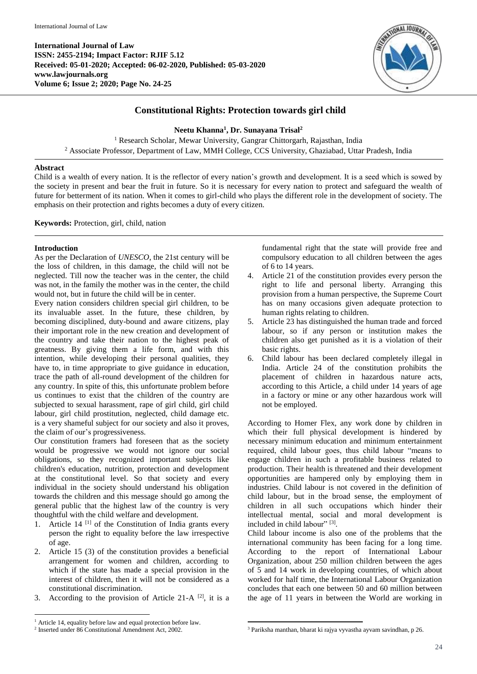**International Journal of Law ISSN: 2455-2194; Impact Factor: RJIF 5.12 Received: 05-01-2020; Accepted: 06-02-2020, Published: 05-03-2020 www.lawjournals.org Volume 6; Issue 2; 2020; Page No. 24-25**



## **Constitutional Rights: Protection towards girl child**

**Neetu Khanna<sup>1</sup> , Dr. Sunayana Trisal<sup>2</sup>**

<sup>1</sup> Research Scholar, Mewar University, Gangrar Chittorgarh, Rajasthan, India <sup>2</sup> Associate Professor, Department of Law, MMH College, CCS University, Ghaziabad, Uttar Pradesh, India

## **Abstract**

Child is a wealth of every nation. It is the reflector of every nation's growth and development. It is a seed which is sowed by the society in present and bear the fruit in future. So it is necessary for every nation to protect and safeguard the wealth of future for betterment of its nation. When it comes to girl-child who plays the different role in the development of society. The emphasis on their protection and rights becomes a duty of every citizen.

**Keywords:** Protection, girl, child, nation

## **Introduction**

As per the Declaration of *UNESCO*, the 21st century will be the loss of children, in this damage, the child will not be neglected. Till now the teacher was in the center, the child was not, in the family the mother was in the center, the child would not, but in future the child will be in center.

Every nation considers children special girl children, to be its invaluable asset. In the future, these children, by becoming disciplined, duty-bound and aware citizens, play their important role in the new creation and development of the country and take their nation to the highest peak of greatness. By giving them a life form, and with this intention, while developing their personal qualities, they have to, in time appropriate to give guidance in education, trace the path of all-round development of the children for any country. In spite of this, this unfortunate problem before us continues to exist that the children of the country are subjected to sexual harassment, rape of girl child, girl child labour, girl child prostitution, neglected, child damage etc. is a very shameful subject for our society and also it proves, the claim of our's progressiveness.

Our constitution framers had foreseen that as the society would be progressive we would not ignore our social obligations, so they recognized important subjects like children's education, nutrition, protection and development at the constitutional level. So that society and every individual in the society should understand his obligation towards the children and this message should go among the general public that the highest law of the country is very thoughtful with the child welfare and development.

- 1. Article 14<sup>[1]</sup> of the Constitution of India grants every person the right to equality before the law irrespective of age.
- 2. Article 15 (3) of the constitution provides a beneficial arrangement for women and children, according to which if the state has made a special provision in the interest of children, then it will not be considered as a constitutional discrimination.
- 3. According to the provision of Article 21-A  $^{[2]}$ , it is a

**.** 

fundamental right that the state will provide free and compulsory education to all children between the ages of 6 to 14 years.

- 4. Article 21 of the constitution provides every person the right to life and personal liberty. Arranging this provision from a human perspective, the Supreme Court has on many occasions given adequate protection to human rights relating to children.
- 5. Article 23 has distinguished the human trade and forced labour, so if any person or institution makes the children also get punished as it is a violation of their basic rights.
- 6. Child labour has been declared completely illegal in India. Article 24 of the constitution prohibits the placement of children in hazardous nature acts, according to this Article, a child under 14 years of age in a factory or mine or any other hazardous work will not be employed.

According to Homer Flex, any work done by children in which their full physical development is hindered by necessary minimum education and minimum entertainment required, child labour goes, thus child labour "means to engage children in such a profitable business related to production. Their health is threatened and their development opportunities are hampered only by employing them in industries. Child labour is not covered in the definition of child labour, but in the broad sense, the employment of children in all such occupations which hinder their intellectual mental, social and moral development is included in child labour" [3].

Child labour income is also one of the problems that the international community has been facing for a long time. According to the report of International Labour Organization, about 250 million children between the ages of 5 and 14 work in developing countries, of which about worked for half time, the International Labour Organization concludes that each one between 50 and 60 million between the age of 11 years in between the World are working in

<sup>1</sup> Article 14, equality before law and equal protection before law.

<sup>2</sup> Inserted under 86 Constitutional Amendment Act, 2002.

<sup>1</sup> <sup>3</sup> Pariksha manthan, bharat ki rajya vyvastha ayvam savindhan, p 26.